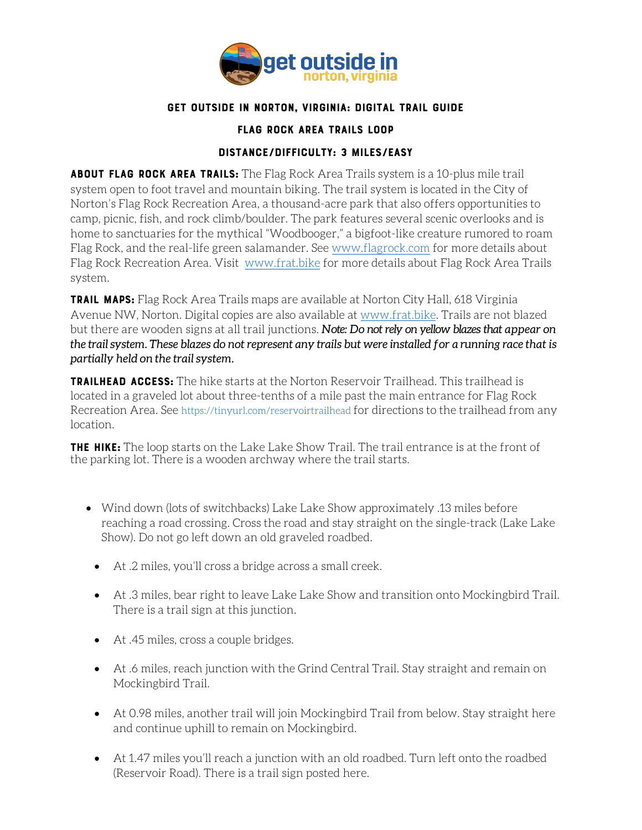

## Get Outside in Norton, Virginia: Digital Trail Guide

## Flag Rock Area Trails Loop

## Distance/Difficulty: 3 miles/Easy

ABOUT FLAG ROCK AREA TRAILS: The Flag Rock Area Trails system is a 10-plus mile trail system open to foot travel and mountain biking. The trail system is located in the City of Norton's Flag Rock Recreation Area, a thousand-acre park that also offers opportunities to camp, picnic, fish, and rock climb/boulder. The park features several scenic overlooks and is home to sanctuaries for the mythical "Woodbooger," a bigfoot-like creature rumored to roam Flag Rock, and the real-life green salamander. See [www.flagrock.com](http://www.flagrock.com/) for more details about Flag Rock Recreation Area. Visit [www.frat.bike](http://www.frat.bike/) for more details about Flag Rock Area Trails system.

**TRAIL MAPS:** Flag Rock Area Trails maps are available at Norton City Hall, 618 Virginia Avenue NW, Norton. Digital copies are also available at [www.frat.bike.](http://www.frat.bike/) Trails are not blazed but there are wooden signs at all trail junctions. *Note: Do not rely on yellow blazes that appear on the trail system. These blazes do not represent any trails but were installed for a running race that is partially held on the trail system.* 

Trailhead Access: The hike starts at the Norton Reservoir Trailhead. This trailhead is located in a graveled lot about three-tenths of a mile past the main entrance for Flag Rock Recreation Area. See <https://tinyurl.com/reservoirtrailhead> for directions to the trailhead from any location.

THE HIKE: The loop starts on the Lake Lake Show Trail. The trail entrance is at the front of the parking lot. There is a wooden archway where the trail starts.

- Wind down (lots of switchbacks) Lake Lake Show approximately .13 miles before reaching a road crossing. Cross the road and stay straight on the single-track (Lake Lake Show). Do not go left down an old graveled roadbed.
	- At .2 miles, you'll cross a bridge across a small creek.
	- At .3 miles, bear right to leave Lake Lake Show and transition onto Mockingbird Trail. There is a trail sign at this junction.
	- At .45 miles, cross a couple bridges.
	- At .6 miles, reach junction with the Grind Central Trail. Stay straight and remain on Mockingbird Trail.
	- At 0.98 miles, another trail will join Mockingbird Trail from below. Stay straight here and continue uphill to remain on Mockingbird.
	- At 1.47 miles you'll reach a junction with an old roadbed. Turn left onto the roadbed (Reservoir Road). There is a trail sign posted here.